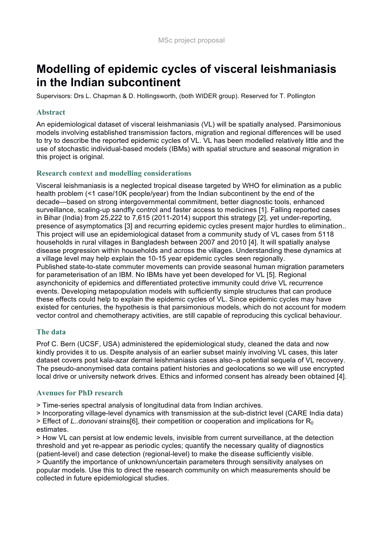# **Modelling of epidemic cycles of visceral leishmaniasis in the Indian subcontinent**

Supervisors: Drs L. Chapman & D. Hollingsworth, (both WIDER group). Reserved for T. Pollington

#### **Abstract**

An epidemiological dataset of visceral leishmaniasis (VL) will be spatially analysed. Parsimonious models involving established transmission factors, migration and regional differences will be used to try to describe the reported epidemic cycles of VL. VL has been modelled relatively little and the use of stochastic individual-based models (IBMs) with spatial structure and seasonal migration in this project is original.

## **Research context and modelling considerations**

Visceral leishmaniasis is a neglected tropical disease targeted by WHO for elimination as a public health problem (<1 case/10K people/year) from the Indian subcontinent by the end of the decade—based on strong intergovernmental commitment, better diagnostic tools, enhanced surveillance, scaling-up sandfly control and faster access to medicines [1]. Falling reported cases in Bihar (India) from 25,222 to 7,615 (2011-2014) support this strategy [2], yet under-reporting, presence of asymptomatics [3] and recurring epidemic cycles present major hurdles to elimination.. This project will use an epidemiological dataset from a community study of VL cases from 5118 households in rural villages in Bangladesh between 2007 and 2010 [4]. It will spatially analyse disease progression within households and across the villages. Understanding these dynamics at a village level may help explain the 10-15 year epidemic cycles seen regionally. Published state-to-state commuter movements can provide seasonal human migration parameters for parameterisation of an IBM. No IBMs have yet been developed for VL [5]. Regional asynchonicity of epidemics and differentiated protective immunity could drive VL recurrence events. Developing metapopulation models with sufficiently simple structures that can produce these effects could help to explain the epidemic cycles of VL. Since epidemic cycles may have existed for centuries, the hypothesis is that parsimonious models, which do not account for modern vector control and chemotherapy activities, are still capable of reproducing this cyclical behaviour.

## **The data**

Prof C. Bern (UCSF, USA) administered the epidemiological study, cleaned the data and now kindly provides it to us. Despite analysis of an earlier subset mainly involving VL cases, this later dataset covers post kala-azar dermal leishmaniasis cases also–a potential sequela of VL recovery. The pseudo-anonymised data contains patient histories and geolocations so we will use encrypted local drive or university network drives. Ethics and informed consent has already been obtained [4].

#### **Avenues for PhD research**

> Time-series spectral analysis of longitudinal data from Indian archives.

> Incorporating village-level dynamics with transmission at the sub-district level (CARE India data)  $>$  Effect of *L..donovani* strains[6], their competition or cooperation and implications for  $R_0$ 

estimates.

> How VL can persist at low endemic levels, invisible from current surveillance, at the detection threshold and yet re-appear as periodic cycles; quantify the necessary quality of diagnostics (patient-level) and case detection (regional-level) to make the disease sufficiently visible. > Quantify the importance of unknown/uncertain parameters through sensitivity analyses on popular models. Use this to direct the research community on which measurements should be collected in future epidemiological studies.